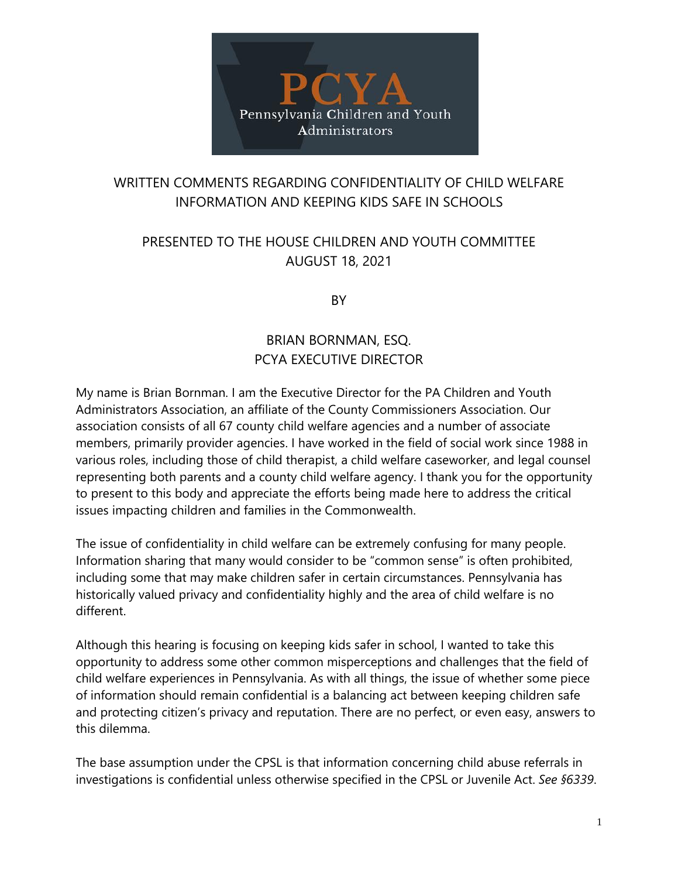

## WRITTEN COMMENTS REGARDING CONFIDENTIALITY OF CHILD WELFARE INFORMATION AND KEEPING KIDS SAFE IN SCHOOLS

# PRESENTED TO THE HOUSE CHILDREN AND YOUTH COMMITTEE AUGUST 18, 2021

BY

# BRIAN BORNMAN, ESQ. PCYA EXECUTIVE DIRECTOR

My name is Brian Bornman. I am the Executive Director for the PA Children and Youth Administrators Association, an affiliate of the County Commissioners Association. Our association consists of all 67 county child welfare agencies and a number of associate members, primarily provider agencies. I have worked in the field of social work since 1988 in various roles, including those of child therapist, a child welfare caseworker, and legal counsel representing both parents and a county child welfare agency. I thank you for the opportunity to present to this body and appreciate the efforts being made here to address the critical issues impacting children and families in the Commonwealth.

The issue of confidentiality in child welfare can be extremely confusing for many people. Information sharing that many would consider to be "common sense" is often prohibited, including some that may make children safer in certain circumstances. Pennsylvania has historically valued privacy and confidentiality highly and the area of child welfare is no different.

Although this hearing is focusing on keeping kids safer in school, I wanted to take this opportunity to address some other common misperceptions and challenges that the field of child welfare experiences in Pennsylvania. As with all things, the issue of whether some piece of information should remain confidential is a balancing act between keeping children safe and protecting citizen's privacy and reputation. There are no perfect, or even easy, answers to this dilemma.

The base assumption under the CPSL is that information concerning child abuse referrals in investigations is confidential unless otherwise specified in the CPSL or Juvenile Act. *See §6339*.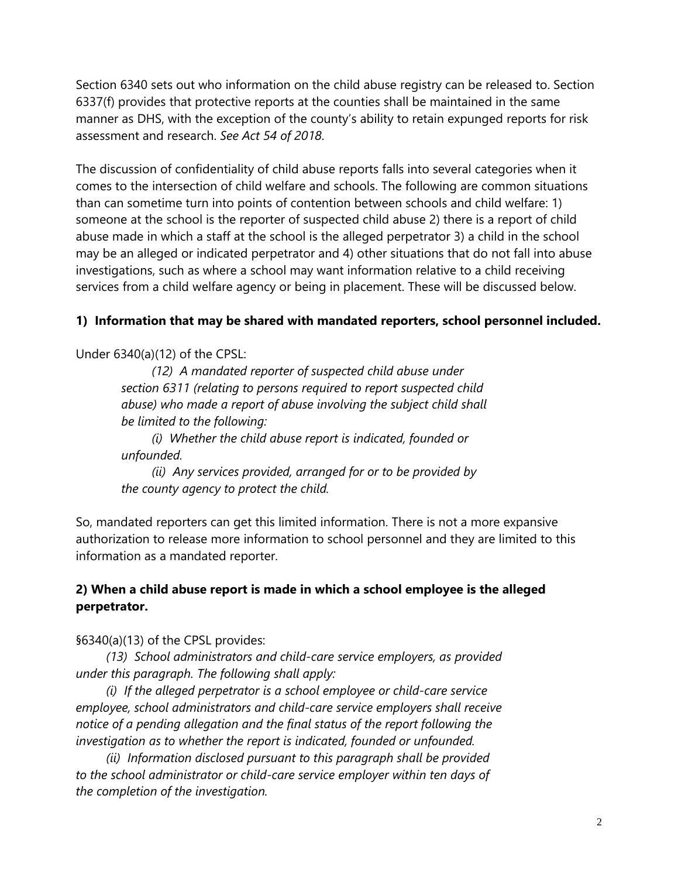Section 6340 sets out who information on the child abuse registry can be released to. Section 6337(f) provides that protective reports at the counties shall be maintained in the same manner as DHS, with the exception of the county's ability to retain expunged reports for risk assessment and research. *See Act 54 of 2018*.

The discussion of confidentiality of child abuse reports falls into several categories when it comes to the intersection of child welfare and schools. The following are common situations than can sometime turn into points of contention between schools and child welfare: 1) someone at the school is the reporter of suspected child abuse 2) there is a report of child abuse made in which a staff at the school is the alleged perpetrator 3) a child in the school may be an alleged or indicated perpetrator and 4) other situations that do not fall into abuse investigations, such as where a school may want information relative to a child receiving services from a child welfare agency or being in placement. These will be discussed below.

#### **1) Information that may be shared with mandated reporters, school personnel included.**

Under 6340(a)(12) of the CPSL:

*(12) A mandated reporter of suspected child abuse under section 6311 (relating to persons required to report suspected child abuse) who made a report of abuse involving the subject child shall be limited to the following:*

*(i) Whether the child abuse report is indicated, founded or unfounded.*

*(ii) Any services provided, arranged for or to be provided by the county agency to protect the child.*

So, mandated reporters can get this limited information. There is not a more expansive authorization to release more information to school personnel and they are limited to this information as a mandated reporter.

### **2) When a child abuse report is made in which a school employee is the alleged perpetrator.**

§6340(a)(13) of the CPSL provides:

*(13) School administrators and child-care service employers, as provided under this paragraph. The following shall apply:*

*(i) If the alleged perpetrator is a school employee or child-care service employee, school administrators and child-care service employers shall receive notice of a pending allegation and the final status of the report following the investigation as to whether the report is indicated, founded or unfounded.*

*(ii) Information disclosed pursuant to this paragraph shall be provided to the school administrator or child-care service employer within ten days of the completion of the investigation.*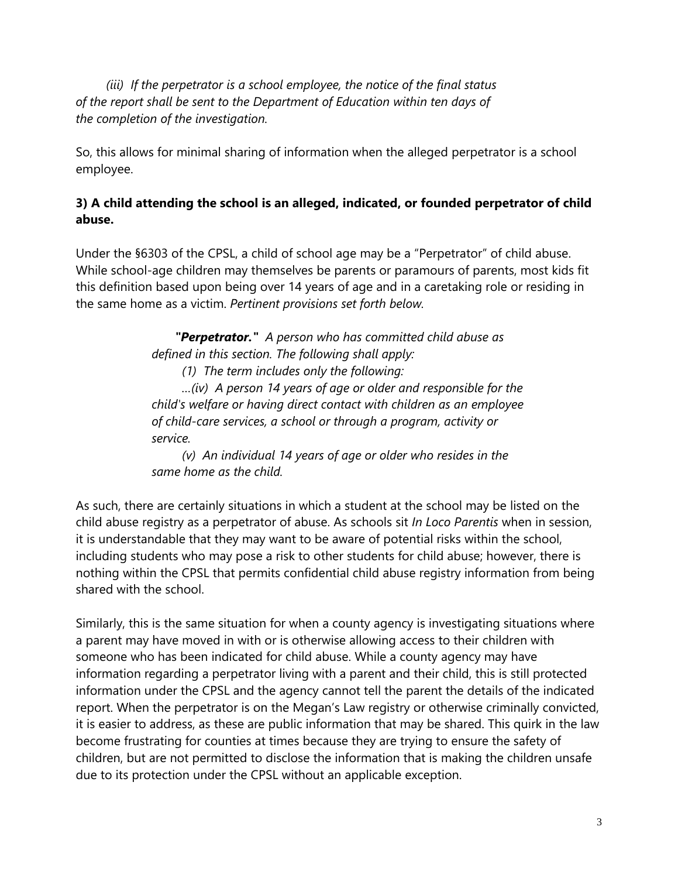*(iii) If the perpetrator is a school employee, the notice of the final status of the report shall be sent to the Department of Education within ten days of the completion of the investigation.*

So, this allows for minimal sharing of information when the alleged perpetrator is a school employee.

### **3) A child attending the school is an alleged, indicated, or founded perpetrator of child abuse.**

Under the §6303 of the CPSL, a child of school age may be a "Perpetrator" of child abuse. While school-age children may themselves be parents or paramours of parents, most kids fit this definition based upon being over 14 years of age and in a caretaking role or residing in the same home as a victim. *Pertinent provisions set forth below.*

> *"Perpetrator." A person who has committed child abuse as defined in this section. The following shall apply: (1) The term includes only the following: …(iv) A person 14 years of age or older and responsible for the child's welfare or having direct contact with children as an employee of child-care services, a school or through a program, activity or service.*

*(v) An individual 14 years of age or older who resides in the same home as the child.*

As such, there are certainly situations in which a student at the school may be listed on the child abuse registry as a perpetrator of abuse. As schools sit *In Loco Parentis* when in session, it is understandable that they may want to be aware of potential risks within the school, including students who may pose a risk to other students for child abuse; however, there is nothing within the CPSL that permits confidential child abuse registry information from being shared with the school.

Similarly, this is the same situation for when a county agency is investigating situations where a parent may have moved in with or is otherwise allowing access to their children with someone who has been indicated for child abuse. While a county agency may have information regarding a perpetrator living with a parent and their child, this is still protected information under the CPSL and the agency cannot tell the parent the details of the indicated report. When the perpetrator is on the Megan's Law registry or otherwise criminally convicted, it is easier to address, as these are public information that may be shared. This quirk in the law become frustrating for counties at times because they are trying to ensure the safety of children, but are not permitted to disclose the information that is making the children unsafe due to its protection under the CPSL without an applicable exception.